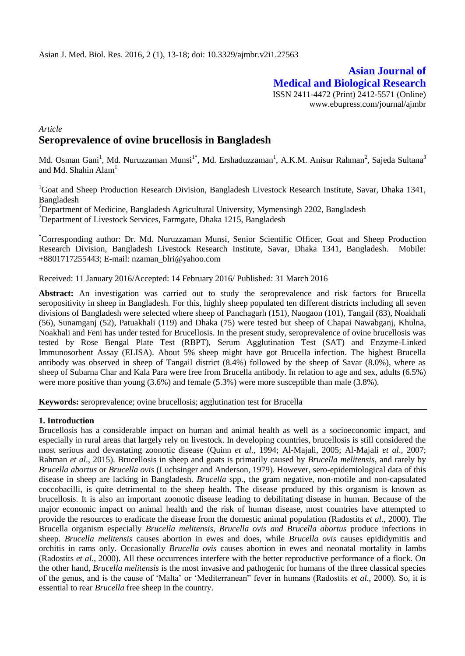# **Asian Journal of Medical and Biological Research** ISSN 2411-4472 (Print) 2412-5571 (Online) www.ebupress.com/journal/ajmbr

# *Article* **Seroprevalence of ovine brucellosis in Bangladesh**

Md. Osman Gani<sup>1</sup>, Md. Nuruzzaman Munsi<sup>1\*</sup>, Md. Ershaduzzaman<sup>1</sup>, A.K.M. Anisur Rahman<sup>2</sup>, Sajeda Sultana<sup>3</sup> and Md. Shahin  $\text{Alam}^1$ 

<sup>1</sup>Goat and Sheep Production Research Division, Bangladesh Livestock Research Institute, Savar, Dhaka 1341, Bangladesh

<sup>2</sup>Department of Medicine, Bangladesh Agricultural University, Mymensingh 2202, Bangladesh <sup>3</sup>Department of Livestock Services, Farmgate, Dhaka 1215, Bangladesh

**\***Corresponding author: Dr. Md. Nuruzzaman Munsi, Senior Scientific Officer, Goat and Sheep Production Research Division, Bangladesh Livestock Research Institute, Savar, Dhaka 1341, Bangladesh. Mobile: +8801717255443; E-mail: [nzaman\\_blri@yahoo.com](mailto:nzaman_blri@yahoo.com)

Received: 11 January 2016/Accepted: 14 February 2016/ Published: 31 March 2016

**Abstract:** An investigation was carried out to study the seroprevalence and risk factors for Brucella seropositivity in sheep in Bangladesh. For this, highly sheep populated ten different districts including all seven divisions of Bangladesh were selected where sheep of Panchagarh (151), Naogaon (101), Tangail (83), Noakhali (56), Sunamganj (52), Patuakhali (119) and Dhaka (75) were tested but sheep of Chapai Nawabganj, Khulna, Noakhali and Feni has under tested for Brucellosis. In the present study, seroprevalence of ovine brucellosis was tested by Rose Bengal Plate Test (RBPT), Serum Agglutination Test (SAT) and Enzyme-Linked Immunosorbent Assay (ELISA). About 5% sheep might have got Brucella infection. The highest Brucella antibody was observed in sheep of Tangail district (8.4%) followed by the sheep of Savar (8.0%), where as sheep of Subarna Char and Kala Para were free from Brucella antibody. In relation to age and sex, adults (6.5%) were more positive than young (3.6%) and female (5.3%) were more susceptible than male (3.8%).

**Keywords:** seroprevalence; ovine brucellosis; agglutination test for Brucella

#### **1. Introduction**

Brucellosis has a considerable impact on human and animal health as well as a socioeconomic impact, and especially in rural areas that largely rely on livestock. In developing countries, brucellosis is still considered the most serious and devastating zoonotic disease (Quinn *et al*., 1994; Al-Majali, 2005; Al-Majali *et al*., 2007; Rahman *et al*., 2015). Brucellosis in sheep and goats is primarily caused by *Brucella melitensis*, and rarely by *Brucella abortus* or *Brucella ovis* (Luchsinger and Anderson, 1979). However, sero-epidemiological data of this disease in sheep are lacking in Bangladesh. *Brucella* spp., the gram negative, non-motile and non-capsulated coccobacilli, is quite detrimental to the sheep health. The disease produced by this organism is known as brucellosis. It is also an important zoonotic disease leading to debilitating disease in human. Because of the major economic impact on animal health and the risk of human disease, most countries have attempted to provide the resources to eradicate the disease from the domestic animal population (Radostits *et al*., 2000). The Brucella organism especially *Brucella melitensis, Brucella ovis and Brucella abortus* produce infections in sheep. *Brucella melitensis* causes abortion in ewes and does, while *Brucella ovis* causes epididymitis and orchitis in rams only. Occasionally *Brucella ovis* causes abortion in ewes and neonatal mortality in lambs (Radostits *et al*., 2000). All these occurrences interfere with the better reproductive performance of a flock. On the other hand, *Brucella melitensis* is the most invasive and pathogenic for humans of the three classical species of the genus, and is the cause of 'Malta' or 'Mediterranean" fever in humans (Radostits *et al*., 2000). So, it is essential to rear *Brucella* free sheep in the country.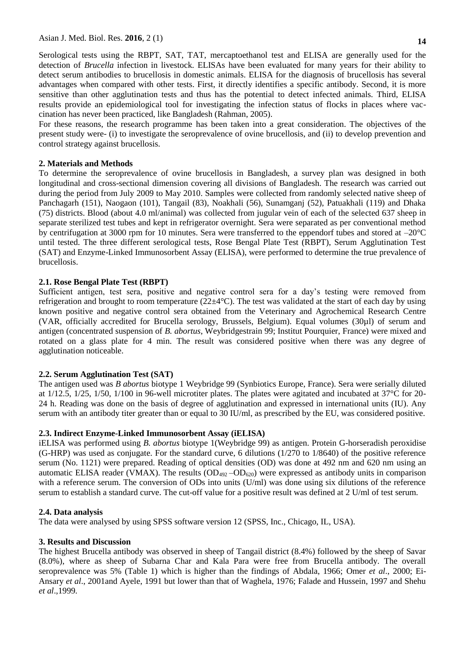Serological tests using the RBPT, SAT, TAT, mercaptoethanol test and ELISA are generally used for the detection of *Brucella* infection in livestock. ELISAs have been evaluated for many years for their ability to detect serum antibodies to brucellosis in domestic animals. ELISA for the diagnosis of brucellosis has several advantages when compared with other tests. First, it directly identifies a specific antibody. Second, it is more sensitive than other agglutination tests and thus has the potential to detect infected animals. Third, ELISA results provide an epidemiological tool for investigating the infection status of flocks in places where vaccination has never been practiced, like Bangladesh (Rahman, 2005).

For these reasons, the research programme has been taken into a great consideration. The objectives of the present study were- (i) to investigate the seroprevalence of ovine brucellosis, and (ii) to develop prevention and control strategy against brucellosis.

## **2. Materials and Methods**

To determine the seroprevalence of ovine brucellosis in Bangladesh, a survey plan was designed in both longitudinal and cross-sectional dimension covering all divisions of Bangladesh. The research was carried out during the period from July 2009 to May 2010. Samples were collected from randomly selected native sheep of Panchagarh (151), Naogaon (101), Tangail (83), Noakhali (56), Sunamganj (52), Patuakhali (119) and Dhaka (75) districts. Blood (about 4.0 ml/animal) was collected from jugular vein of each of the selected 637 sheep in separate sterilized test tubes and kept in refrigerator overnight. Sera were separated as per conventional method by centrifugation at 3000 rpm for 10 minutes. Sera were transferred to the eppendorf tubes and stored at  $-20^{\circ}$ C until tested. The three different serological tests, Rose Bengal Plate Test (RBPT), Serum Agglutination Test (SAT) and Enzyme-Linked Immunosorbent Assay (ELISA), were performed to determine the true prevalence of brucellosis.

## **2.1. Rose Bengal Plate Test (RBPT)**

Sufficient antigen, test sera, positive and negative control sera for a day's testing were removed from refrigeration and brought to room temperature  $(22\pm 4^{\circ}C)$ . The test was validated at the start of each day by using known positive and negative control sera obtained from the Veterinary and Agrochemical Research Centre (VAR, officially accredited for Brucella serology, Brussels, Belgium). Equal volumes (30µl) of serum and antigen (concentrated suspension of *B. abortus*, Weybridgestrain 99; Institut Pourquier, France) were mixed and rotated on a glass plate for 4 min. The result was considered positive when there was any degree of agglutination noticeable.

#### **2.2. Serum Agglutination Test (SAT)**

The antigen used was *B abortus* biotype 1 Weybridge 99 (Synbiotics Europe, France). Sera were serially diluted at 1/12.5, 1/25, 1/50, 1/100 in 96-well microtiter plates. The plates were agitated and incubated at 37°C for 20- 24 h. Reading was done on the basis of degree of agglutination and expressed in international units (IU). Any serum with an antibody titer greater than or equal to 30 IU/ml, as prescribed by the EU, was considered positive.

#### **2.3. Indirect Enzyme-Linked Immunosorbent Assay (iELISA)**

iELISA was performed using *B. abortus* biotype 1(Weybridge 99) as antigen. Protein G-horseradish peroxidise (G-HRP) was used as conjugate. For the standard curve, 6 dilutions (1/270 to 1/8640) of the positive reference serum (No. 1121) were prepared. Reading of optical densities (OD) was done at 492 nm and 620 nm using an automatic ELISA reader (VMAX). The results  $OD_{492}-OD_{620}$ ) were expressed as antibody units in comparison with a reference serum. The conversion of ODs into units (U/ml) was done using six dilutions of the reference serum to establish a standard curve. The cut-off value for a positive result was defined at 2 U/ml of test serum.

#### **2.4. Data analysis**

The data were analysed by using SPSS software version 12 (SPSS, Inc., Chicago, IL, USA).

#### **3. Results and Discussion**

The highest Brucella antibody was observed in sheep of Tangail district (8.4%) followed by the sheep of Savar (8.0%), where as sheep of Subarna Char and Kala Para were free from Brucella antibody. The overall seroprevalence was 5% (Table 1) which is higher than the findings of Abdala, 1966; Omer *et al*., 2000; Ei-Ansary *et al*., 2001and Ayele, 1991 but lower than that of Waghela, 1976; Falade and Hussein, 1997 and Shehu *et al*.,1999.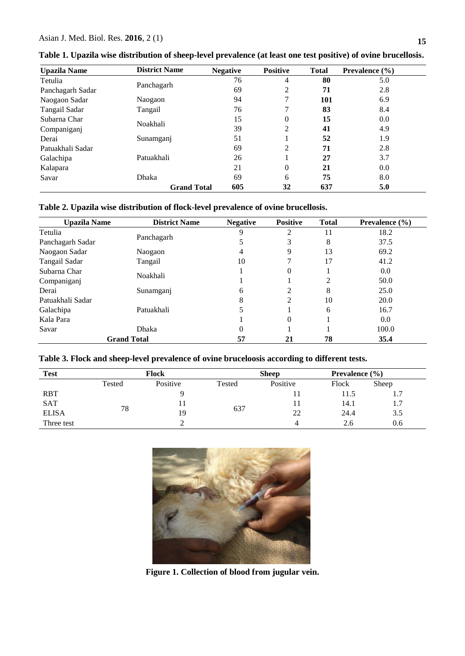| <b>Upazila Name</b> | <b>District Name</b> | <b>Negative</b> | <b>Positive</b> | <b>Total</b> | Prevalence $(\% )$ |
|---------------------|----------------------|-----------------|-----------------|--------------|--------------------|
| Tetulia             |                      | 76              | 4               | 80           | 5.0                |
| Panchagarh Sadar    | Panchagarh           | 69              | 2               | 71           | 2.8                |
| Naogaon Sadar       | Naogaon              | 94              | 7               | 101          | 6.9                |
| Tangail Sadar       | Tangail              | 76              |                 | 83           | 8.4                |
| Subarna Char        |                      | 15              | $\overline{0}$  | 15           | 0.0                |
| Companiganj         | Noakhali             | 39              | 2               | 41           | 4.9                |
| Derai               | Sunamganj            | 51              |                 | 52           | 1.9                |
| Patuakhali Sadar    |                      | 69              | 2               | 71           | 2.8                |
| Galachipa           | Patuakhali           | 26              |                 | 27           | 3.7                |
| Kalapara            |                      | 21              | $\overline{0}$  | 21           | 0.0                |
| Savar               | <b>Dhaka</b>         | 69              | 6               | 75           | 8.0                |
|                     | <b>Grand Total</b>   | 605             | 32              | 637          | 5.0                |

**Table 1. Upazila wise distribution of sheep-level prevalence (at least one test positive) of ovine brucellosis.**

# **Table 2. Upazila wise distribution of flock-level prevalence of ovine brucellosis.**

| <b>Upazila Name</b> | <b>District Name</b> | <b>Negative</b> | <b>Positive</b> | <b>Total</b> | Prevalence $(\% )$ |
|---------------------|----------------------|-----------------|-----------------|--------------|--------------------|
| Tetulia             |                      | 9               | 2               | 11           | 18.2               |
| Panchagarh Sadar    | Panchagarh           |                 | 3               | 8            | 37.5               |
| Naogaon Sadar       | Naogaon              |                 | 9               | 13           | 69.2               |
| Tangail Sadar       | Tangail              | 10              | ¬               | 17           | 41.2               |
| Subarna Char        | Noakhali             |                 | $\theta$        |              | 0.0                |
| Companiganj         |                      |                 |                 | 2            | 50.0               |
| Derai               | Sunamganj            | 6               | 2               | 8            | 25.0               |
| Patuakhali Sadar    |                      | 8               | 2               | 10           | 20.0               |
| Galachipa           | Patuakhali           |                 |                 | 6            | 16.7               |
| Kala Para           |                      |                 | $\theta$        |              | 0.0                |
| Savar               | <b>Dhaka</b>         | 0               |                 |              | 100.0              |
| <b>Grand Total</b>  |                      | 57              | 21              | 78           | 35.4               |

# **Table 3. Flock and sheep-level prevalence of ovine bruceloosis according to different tests.**

| <b>Test</b>  | <b>Flock</b> |          |        | <b>Sheep</b> |       | Prevalence $(\% )$            |
|--------------|--------------|----------|--------|--------------|-------|-------------------------------|
|              | Tested       | Positive | Tested | Positive     | Flock | Sheep                         |
| <b>RBT</b>   |              |          |        |              | 11.5  | $\mathbf{1} \cdot \mathbf{1}$ |
| <b>SAT</b>   |              |          | 637    |              | 14.1  | 1.7                           |
| <b>ELISA</b> | 78           | 19       |        | 22           | 24.4  | 3.5                           |
| Three test   |              |          |        | 4            | 2.6   | 0.6                           |



**Figure 1. Collection of blood from jugular vein.**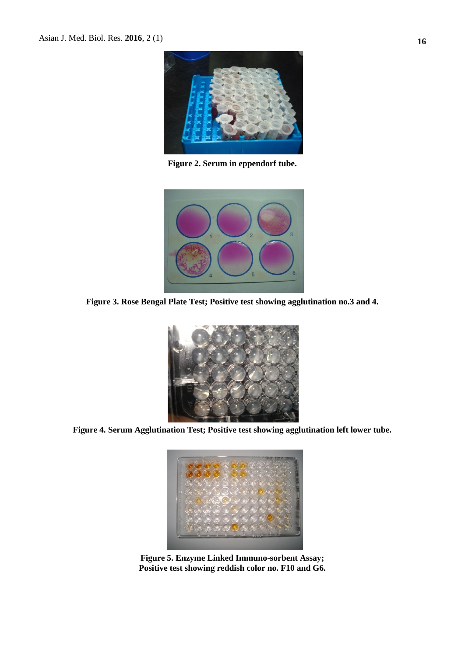

**Figure 2. Serum in eppendorf tube.**



**Figure 3. Rose Bengal Plate Test; Positive test showing agglutination no.3 and 4.** 



**Figure 4. Serum Agglutination Test; Positive test showing agglutination left lower tube.**



**Figure 5. Enzyme Linked Immuno-sorbent Assay; Positive test showing reddish color no. F10 and G6.**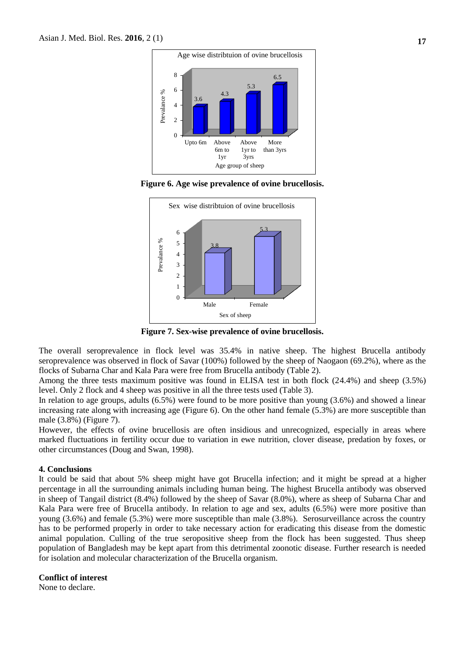

**Figure 6. Age wise prevalence of ovine brucellosis.**



**Figure 7. Sex-wise prevalence of ovine brucellosis.**

The overall seroprevalence in flock level was 35.4% in native sheep. The highest Brucella antibody seroprevalence was observed in flock of Savar (100%) followed by the sheep of Naogaon (69.2%), where as the flocks of Subarna Char and Kala Para were free from Brucella antibody (Table 2).

Among the three tests maximum positive was found in ELISA test in both flock (24.4%) and sheep (3.5%) level. Only 2 flock and 4 sheep was positive in all the three tests used (Table 3).

In relation to age groups, adults (6.5%) were found to be more positive than young (3.6%) and showed a linear increasing rate along with increasing age (Figure 6). On the other hand female (5.3%) are more susceptible than male (3.8%) (Figure 7).

However, the effects of ovine brucellosis are often insidious and unrecognized, especially in areas where marked fluctuations in fertility occur due to variation in ewe nutrition, clover disease, predation by foxes, or other circumstances (Doug and Swan, 1998).

#### **4. Conclusions**

It could be said that about 5% sheep might have got Brucella infection; and it might be spread at a higher percentage in all the surrounding animals including human being. The highest Brucella antibody was observed in sheep of Tangail district (8.4%) followed by the sheep of Savar (8.0%), where as sheep of Subarna Char and Kala Para were free of Brucella antibody. In relation to age and sex, adults (6.5%) were more positive than young (3.6%) and female (5.3%) were more susceptible than male (3.8%). Serosurveillance across the country has to be performed properly in order to take necessary action for eradicating this disease from the domestic animal population. Culling of the true seropositive sheep from the flock has been suggested. Thus sheep population of Bangladesh may be kept apart from this detrimental zoonotic disease. Further research is needed for isolation and molecular characterization of the Brucella organism.

## **Conflict of interest**

None to declare.